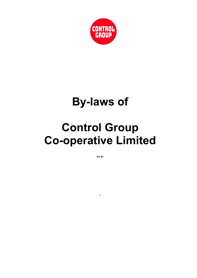

# By-laws of

# Control Group Co-operative Limited

V1.01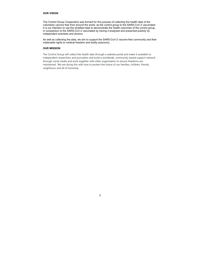# OUR VISION

The Control Group Cooperative was formed for the purpose of collecting the health data of the voluntarily vaccine free from around the world, as the control group to the SARS-CoV-2 vaccinated. It is our intention to use the stratified data to demonstrate the health outcomes of the control group, in comparison to the SARS-CoV-2 vaccinated by having it analysed and presented publicly by independent scientists and doctors.

As well as collecting the data, we aim to support the SARS-CoV-2 vaccine-free community and their inalienable rights to medical freedom and bodily autonomy.

# OUR MISSION

The Control Group will collect the health data through a website portal and make it available to independent researchers and journalists and build a worldwide, community-based support network through social media and work together with other organisation to ensure freedoms are maintained.. We are doing this with love to protect the future of our families, children, friends, neighbours and all of humanity.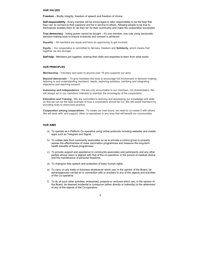### OUR VALUES

Freedom – Bodily integrity, freedom of speech and freedom of choice.

Self-responsibility - Every member will be encouraged to take responsibility to be the best that they can, to connect to their passions and be in service to others. Allowing people to be true to themselves enables them to 'do their bit' for their community and make the cooperative successful.

True democracy - Voting power cannot be bought – it's one member, one vote using sociocratic decision-making tools to ensure inclusivity and consent is achieved.

Equality – All members are equal and have an opportunity to get involved.

Equity – Our cooperative is committed to fairness, freedom and Solidarity, which means that together we are stronger.

Cooperation among cooperatives - To create our new future, we need to co-create it with others. We will work with, and support, other co-operatives in any area that will benefit our communities.

Self-help - Members join together, sharing their skills and expertise to learn from what works.

# OUR PRINCIPLES

Membership - Voluntary and open to anyone over 16 who supports our aims.

Beyond democratic – To give members the tools to encourage full involvement in decision-making: listening to and understanding members' needs, exploring solutions, clarifying and integrating objections and reaching consent.

Autonomy and independence - We are only accountable to our members, not shareholders. We will always act in our members' interests to maintain the sovereignty of the cooperative.

Education and Training - We are committed to learning and developing our knowledge and skills so that we can be the best example of how a cooperative should be run. We will assist members by providing tools to share best practice.

# OUR AIMS

- a) To operate as a Platform Co-operative using online protocols including websites and mobile apps such as Telegram and Signal.
- b) To collate data from community associates so as to provide a control group to properly assess the effectiveness of mass vaccination programmes and measure the long-term health benefits of these programmes.
- c) To provide support and assistance to community associates and participants and any other parties whose vision is aligned with that of the co-operative, in the pursuit of medical choice and the maintenance of personal freedoms.
- d) To champion free speech and protection of basic human rights.
- e) To carry on any trade or business whatsoever which can, in the opinion of the Board, be advantageously carried on in connection with or ancillary to any of the objects and activities of the Co-operative.
- f) To do all such other activities, enterprises, projects or ventures which can, in the opinion of the Board, be deemed incidental or conducive (either directly or indirectly) to the attainment of any of the objects of the Co-operative.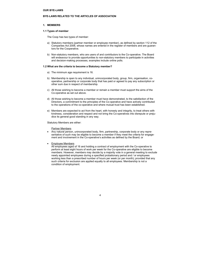# BYE-LAWS RELATED TO THE ARTICLES OF ASSOCIATION

# 1. MEMBERS

### 1.1 Types of member

The Coop has two types of member:

- a) Statutory members (partner member or employee member), as defined by section 112 of the Companies Act 2006, whose names are entered in the register of members and are guarantors for the Cooperative.
- b) Non-statutory members, who are users of and contributors to the Co-operative. The Board will endeavour to provide opportunities to non-statutory members to participate in activities and decision-making processes, examples include online polls.

# 1.2 What are the criteria to become a Statutory member?

- a) The minimum age requirement is 16.
- b) Membership is open to any individual, unincorporated body, group, firm, organisation, cooperative, partnership or corporate body that has paid or agreed to pay any subscription or other sum due in respect of membership.
- c) All those wishing to become a member or remain a member must support the aims of the Co-operative as set out above.
- d) All those wishing to become a member must have demonstrated, to the satisfaction of the Directors, a commitment to the principles of the Co-operative and have actively contributed to the operations of the co-operative and where mutual trust has been established.
- e) Members are expected to act from the heart, with honesty and integrity, to treat others with kindness, consideration and respect and not bring the Co-operatives into disrepute or prejudice its general good standing in any way.

Statutory Members are either:

Partner Members

- Any natural person, unincorporated body, firm, partnership, corporate body or any representative of such may be eligible to become a member if they meet the criteria for engagement and involvement in the Co-operative's activities as defined by the Board; or
- Employee Members

All employees aged of 16 and holding a contract of employment with the Co-operative to perform at least eight hours of work per week for the Co-operative are eligible to become members. However, members may decide by a majority vote in a general meeting to exclude newly appointed employees during a specified probationary period and / or employees working less than a prescribed number of hours per week (or per month); provided that any such criteria for exclusion are applied equally to all employees. Membership is not a condition of employment.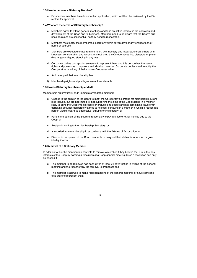### 1.3 How to become a Statutory Member?

a) Prospective members have to submit an application, which will then be reviewed by the Directors for approval.

### 1.4 What are the terms of Statutory Membership?

- a) Members agree to attend general meetings and take an active interest in the operation and development of the Coop and its business. Members need to be aware that the Coop's business decisions are confidential, so they need to respect this.
- b) Members must notify the membership secretary within seven days of any change to their name or address.
- c) Members are expected to act from the heart, with honesty and integrity, to treat others with kindness, consideration and respect and not bring the Co-operatives into disrepute or prejudice its general good standing in any way.
- d) Corporate bodies can appoint someone to represent them and this person has the same rights and powers as if they were an individual member. Corporate bodies need to notify the Co-operative in writing of their choice of representative.
- e) And have paid their membership fee.
- f) Membership rights and privileges are not transferable.

In addition to 1.5, the membership can vote to remove a member if they believe that it is in the best interests of the Coop by passing a resolution at a Coop general meeting. Such a resolution can only be passed if:

# 1.5 How is Statutory Membership ended?

Membership automatically ends immediately that the member:

- a) Ceases in the opinion of the Board to meet the Co-operative's criteria for membership. Examples include, but are not limited to, not supporting the aims of the Coop; acting in a manner likely to bring the Coop into disrepute or prejudice its good standing; committing fraud or undertaking activities deliberately aimed to mislead; behaving in a manner in which a reasonable person would regard as aggressive, bullying or intimidatory; or
- b) Fails in the opinion of the Board unreasonably to pay any fee or other monies due to the Coop; or
- c) Resigns in writing to the Membership Secretary; or
- d) Is expelled from membership in accordance with the Articles of Association; or
- e) Dies, or in the opinion of the Board is unable to carry out their duties, is wound up or goes into liquidation.

### 1.6 Removal of a Statutory Member

- a) The member to be removed has been given at least 21 days' notice in writing of the general meeting and the reasons why the removal is proposed; and
- b) The member is allowed to make representations at the general meeting, or have someone else there to represent them.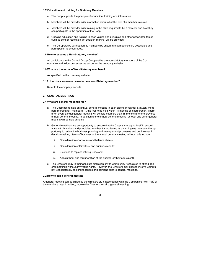# 1.7 Education and training for Statutory Members

- a) The Coop supports the principle of education, training and information.
- b) Members will be provided with information about what the role of a member involves.
- c) Members will be provided with training in the skills required to be a member and how they can participate in the operation of the Coop.
- d) Ongoing education and training in coop values and principles and other associated topics such as conflict resolution anf decision-making, will be provided.
- e) The Co-operative will support its members by ensuring that meetings are accessible and participation is encouraged.

### 1.8 How to become a Non-Statutory member?

All participants in the Control Group Co-operative are non-statutory members of the Cooperative and follow processes as set out on the company website.

### 1.9 What are the terms of Non-Statutory members?

As specified on the company website.

### 1.10 How does someone cease to be a Non-Statutory member?

Refer to the company website

# 2. GENERAL MEETINGS

### 2.1 What are general meetings for?

- a) The Coop has to hold an annual general meeting in each calendar year for Statutory Members (hereinafter "member(s)"), the first to be held within 18 months of incorporation. Thereafter, every annual general meeting will be held not more than 15 months after the previous annual general meeting. In addition to the annual general meeting, at least one other general meeting will be held annually
- b) General meetings are an opportunity to ensure that the Coop is managing itself in accordance with its values and principles, whether it is achieving its aims. It gives members the opportunity to review the business planning and management processes and get involved in decision-making. Items of business at the annual general meeting will normally include:
	- i. Consideration of accounts and balance sheets;
	- ii. Consideration of Directors' and auditor's reports;
	- iii. Elections to replace retiring Directors;
	- iv. Appointment and remuneration of the auditor (or their equivalent).
- c) The Directors, may in their absolute discretion, invite Community Associates to attend general meetings without any voting rights. However, the Directors may choose involve Community Associates by seeking feedback and opinions prior to general meetings.

### 2.2 How to call a general meeting

A general meeting can be called by the directors or, in accordance with the Companies Acts, 10% of the members may, in writing, require the Directors to call a general meeting.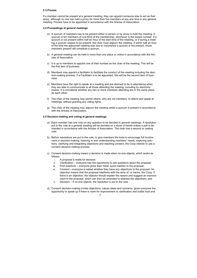# 2.3 Proxies

If a member cannot be present at a general meeting, they can appoint someone else to act as their proxy, although no one can hold a proxy for more than five members at any one time in any general meeting. Proxies have to be appointed in accordance with the Articles of Association.

### 2.4 Proceedings at general meetings

- a) A quorum of members has to be present either in person or by proxy to hold the meeting. A quorum is ten members of one-third of the membership, whichever is the lowest number. If a quorum is not present within half an hour of the start time of the meeting, or if during a meeting a quorum ceases to be present, the chair must adjourn the meeting. If within half an hour of the time the adjourned meeting was due to commence a quorum is not present, those members present will constitute a quorum.
- b) A general meeting can be held in more than one place or online in accordance with the Articles of Association.
- c) It is up to members to appoint one of their number as the chair of the meeting. This will be the first item of business.
- d) Members may appoint a facilitator to facilitate the conduct of the meeting including the decision-making process. If a Facilitator is to be appointed, this will be the second item of business.
- e) Members have the right to speak at a meeting and are deemed to be in attendance when they are able to communicate to all those attending the meeting, including by electronic means. It is immaterial whether any two or more members attending are in the same place as each other.
- f) The chair of the meeting may permit others, who are not members, to attend and speak at meetings, without granting any voting rights.
- g) The chair of the meeting may adjourn the meeting whilst a quorum is present in accordance with the Articles of Association.

# 2.5 Decision-making and voting at general meetings

- a) Each member has one vote on any question to be decided in general meetings. A resolution put to the vote at a general meeting will be decided on a show of hands unless a poll is demanded in accordance with the Articles of Association. The chair has a second or casting vote.
- b) Before resolutions are put to the vote, to give members the tools to encourage full involvement in decision-making: listening to and understanding members' needs, exploring solutions, clarifying and integrating objections and reaching consent, the Coop intends to use a consent decision-making process.
- c) Consent decision-making means a decision is made when no-one objects, which works as follows:
	- i. A proposal is made for decision;
	- ii. Clarification everyone has the opportunity to ask questions about the proposal;
	- iii. First reactions everyone gives their initial, quick reaction to the proposal;
	- iv. Consent everyone is asked whether they have any objections to the proposal. An objection means that the proposal interferes with the aims of, or harms, the Coop. If there is an objection, the objector should explain the reason and suggest an improvement to the proposal, which can then be amended to address the objections; and
	- v. Decision if no-one objects, the resolution is put to the vote.
- d) Consent decision-making invites objections, values ideas and concerns, gives everyone the opportunity to speak up if there is room for improvement or clarification and builds trust and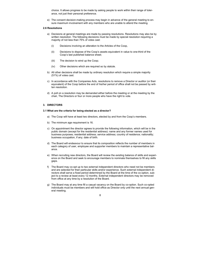choice. It allows progress to be made by asking people to work within their range of tolerance, not just their personal preference.

e) The consent decision-making process may begin in advance of the general meeting to ensure maximum involvement with any members who are unable to attend the meeting.

### 2.6 Resolutions

- a) Decisions at general meetings are made by passing resolutions. Resolutions may also be by written resolution. The following decisions must be made by special resolution requiring a majority of not less than 75% of votes cast:
	- (i) Decisions involving an alteration to the Articles of the Coop,
	- (ii) Decisions to dispose of the Coop's assets equivalent in value to one-third of the Coop's last published balance sheet;
	- (iii) The decision to wind up the Coop;
	- (iv) Other decisions which are required so by statute.
- b) All other decisions shall be made by ordinary resolution which require a simple majority (51%) of votes cast.
- c) In accordance with the Companies Acts, resolutions to remove a Director or auditor (or their equivalent) of the Coop before the end of his/her period of office shall not be passed by written resolution.
- d) A poll on a resolution may be demanded either before the meeting or at the meeting by the chair, The Directors or four or more people who have the right to vote.

# 3. DIRECTORS

### 3.1 What are the criteria for being elected as a director?

- a) The Coop will have at least two directors, elected by and from the Coop's members.
- b) The minimum age requirement is 16.
- c) On appointment the director agrees to provide the following information, which will be in the public domain (except for the residential address): name and any former names used for business purposes; residential address; service address; country of residence; nationality; business occupation, if any; date of birth.
- d) The Board will endeavour to ensure that its composition reflects the number of members in each category of user, employee and supporter members to maintain a representative balance.
- e) When recruiting new directors, the Board will review the existing balance of skills and experience on the Board and seek to encourage members to nominate themselves to fill any skills gaps.
- f) The Board may co-opt up to two external independent directors who need not be members and are selected for their particular skills and/or experience. Such external independent directors shall serve a fixed period determined by the Board at the time of the co-option, subject to a review at least every 12 months. External independent directors may be removed from office at any time by a resolution of the Board.
- g) The Board may at any time fill a casual vacancy on the Board by co-option. Such co-opted individuals must be members and will hold office as Director only until the next annual general meeting.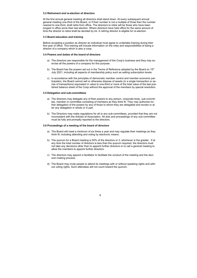# 3.2 Retirement and re-election of directors

At the first annual general meeting all directors shall stand down. At every subsequent annual general meeting one-third of the Board, or if their number is not a multiple of three then the number nearest to one-third, shall retire from office. The directors to retire will be those who have been longest in office since their last election. Where directors have held office for the same amount of time the director to retire shall be decided by lot. A retiring director is eligible for re-election.

# 3.3 Board education and training

Before accepting a position as director an individual must agree to undertake training during their first year of office. This training will include information on the roles and responsibilities of being a director of a company which is also a coop.

# 3.4 Powers and duties of the board of directors

- a) The directors are responsible for the management of the Coop's business and they may exercise all the powers of a company for this purpose.
- b) The Board has the powers set out in the Terms of Reference adopted by the Board on  $15<sup>th</sup>$ July 2021, including all aspects of membership policy such as setting subscription levels.
- c) In accordance with the principles of democratic member control and member economic participation, the Board cannot sell or otherwise dispose of assets (in a single transaction or series of transactions) equivalent in value to one-third or more of the total value of the last published balance sheet of the Coop without the approval of the members by special resolution.

# 3.5 Delegation and sub-committees

- a) The directors may delegate any of their powers to any person, corporate body, sub-committee, member or committee consisting of members as they think fit. They may authorise further delegation of the powers by any of those to whom they are delegated and revoke or alter any delegation in whole or in part.
- b) The Directors may make regulations for all or any sub-committees, provided that they are not inconsistent with the Articles of Association. All acts and proceedings of any sub-committee must be fully and promptly reported to the directors.

# 3.6 Proceedings of a meeting of the board of directors

- a) The Board will meet a minimum of six times a year and may regulate their meetings as they think fit, including attending and voting by electronic means.
- b) The quorum for a Board meeting is 50% of the directors or 3, whichever is the greater. If at any time the total number of directors is less than the quorum required, the directors must not take any decisions other than to appoint further directors or to call a general meeting to allow the members to appoint further directors.
- c) The directors may appoint a facilitator to facilitate the conduct of the meeting and the decision-making process.
- d) The Board may invite people to attend its meetings with or without speaking rights and without voting rights. Such attendees will not count toward the quorum.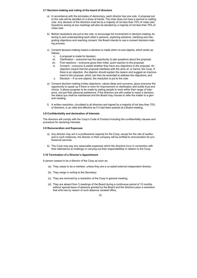# 3.7 Decision-making and voting of the board of directors

- a) In accordance with the principles of democracy, each director has one vote. A proposal put to the vote will be decided on a show of hands. The chair does not have a second or casting vote. Any decision of the directors must be by a majority of not less than 75% of votes cast. Questions arising at any meetings will also be decided by a majority of not less than 75% of votes cast.
- b) Before resolutions are put to the vote, to encourage full involvement in decision-making: listening to and understanding each other's opinions, exploring solutions, clarifying and integrating objections and reaching consent, the Board intends to use a consent decision-making process.
- c) Consent decision-making means a decision is made when no-one objects, which works as follows:
	- vi. A proposal is made for decision;
	- vii. Clarification everyone has the opportunity to ask questions about the proposal;
	- viii. First reactions everyone gives their initial, quick reaction to the proposal;
	- ix. Consent everyone is asked whether they have any objections to the proposal. An objection means that the proposal interferes with the aims of, or harms, the Coop. If there is an objection, the objector should explain the reason and suggest an improvement to the proposal, which can then be amended to address the objections; and
	- x. Decision if no-one objects, the resolution is put to the vote.
- e) Consent decision-making invites objections, values ideas and concerns, gives everyone the opportunity to speak up if there is room for improvement or clarification and builds trust and choice. It allows progress to be made by asking people to work within their range of tolerance, not just their personal preference. If the directors are still unable to reach a decision, the status quo shall be maintained and the Board may choose to refer the matter to a general meeting.
- f) A written resolution, circulated to all directors and signed by a majority of not less than 75% of directors, is as valid and effective as if it had been passed at a Board meeting.

# 3.8 Confidentiality and declaration of Interests

The directors will comply with the Coop's Code of Conduct including the confidentiality clauses and procedure for declaring interests.

# 3.9 Remuneration and Expenses

- a) Any director may act in a professional capacity for the Coop, except for the role of auditor, and in such instances, the director or their company will be entitled to remuneration for professional services.
- b) The Coop may pay any reasonable expenses which the directors incur in connection with their attendance at meetings or carrying out their responsibilities in relation to the Coop.

# 3.10 Termination of a Director's Appointment

A person ceases to be a director of the Coop as soon as:

- (a) They cease to be a member, unless they are a co-opted external independent director;
- (b) They resign in writing to the Secretary;
- (c) They are removed by a resolution of the Coop in general meeting;
- (d) They are absent from 3 meetings of the Board during a continuous period of 12 months without special leave of absence granted by the Board and the directors pass a resolution that s/he has by reason of such absence vacated office;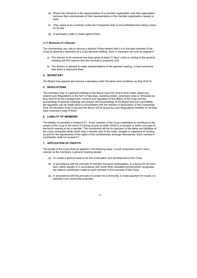- (e) Where the individual is the representative of a member organisation and that organisation removes their endorsement of their representative or the member organisation ceases to exist;
- (f) They cease to be a director under the Companies Acts or are prohibited from being a director by law;
- (g) A bankruptcy order is made against them;

# 3.11 Removal of a Director

The membership can vote to remove a director if they believe that it is in the best interests of the Coop by passing a resolution at a Coop general meeting. Such a resolution can only be passed if:

- a) The director to be removed has been given at least 21 days' notice in writing of the general meeting and the reasons why the removal is proposed; and
- b) The director is allowed to make representations at the general meeting, or have someone else there to represent them.

# 4. SECRETARY

The Board may appoint and remove a secretary under the terms and conditions as they think fit.

# 5. REGULATIONS

The liability of members is limited to £1. Every member of the Coop undertakes to contribute to the assets of the Coop in the event of it being wound up while s/he/it is a member or within one year of her/him/it ceasing to be a member. The contribution will be for payment of the debts and liabilities of the Coop contracted while s/he/it was a member and of the costs, charges or expenses of winding up and for the adjustments of the rights of the contributories amongst themselves. Each member's contribution shall not exceed £1.

The members may in a general meeting or the Board may from time to time make, adopt and amend such Regulations in the form of bye-laws, standing orders, secondary rules or otherwise as they think fit for the management, conduct and regulation of the affairs of the Coop and the proceedings of general meetings and powers and proceedings of the Board and sub-committees. No regulation can be made which is inconsistent with the Articles of Association or the Companies Acts. All members of the Coop and the Board will be bound by such Regulations whether or not they have received a copy of them.

# 6. LIABILITY OF MEMBERS

# 7. APPLICATION OF PROFITS

The profits of the Coop shall be applied in the following ways, in such proportions and in such manner as the members in general meeting decide:

- (a) To create a general reserve for the continuation and development of the Coop;
- (b) In accordance with the principle of member economic participation, to a bonus for all members, either equally or in accordance with some other equitable formula which recognises the relative contribution made by each member to the business of the Coop;
- (a) In accordance with the principle of concern for community, to make payment for social, cooperative and community purposes.